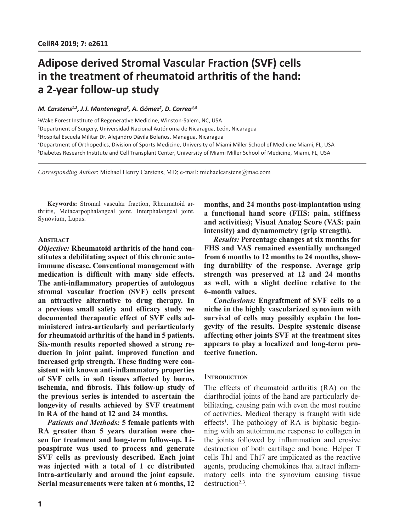# **Adipose derived Stromal Vascular Fraction (SVF) cells in the treatment of rheumatoid arthritis of the hand: a 2-year follow-up study**

## *M. Carstens1,2, J.J. Montenegro3 , A. Gómez2 , D. Correa4,5*

 Wake Forest Institute of Regenerative Medicine, Winston-Salem, NC, USA Department of Surgery, Universidad Nacional Autónoma de Nicaragua, León, Nicaragua Hospital Escuela Militar Dr. Alejandro Dávila Bolaños, Managua, Nicaragua Department of Orthopedics, Division of Sports Medicine, University of Miami Miller School of Medicine Miami, FL, USA Diabetes Research Institute and Cell Transplant Center, University of Miami Miller School of Medicine, Miami, FL, USA

*Corresponding Author*: Michael Henry Carstens, MD; e-mail: michaelcarstens@mac.com

**Keywords:** Stromal vascular fraction, Rheumatoid arthritis, Metacarpophalangeal joint, Interphalangeal joint, Synovium, Lupus.

#### **ABSTRACT**

*Objective:* **Rheumatoid arthritis of the hand constitutes a debilitating aspect of this chronic autoimmune disease. Conventional management with medication is difficult with many side effects. The anti-inflammatory properties of autologous stromal vascular fraction (SVF) cells present an attractive alternative to drug therapy. In a previous small safety and efficacy study we documented therapeutic effect of SVF cells administered intra-articularly and periarticularly for rheumatoid arthritis of the hand in 5 patients. Six-month results reported showed a strong reduction in joint paint, improved function and increased grip strength. These finding were consistent with known anti-inflammatory properties of SVF cells in soft tissues affected by burns, ischemia, and fibrosis. This follow-up study of the previous series is intended to ascertain the longevity of results achieved by SVF treatment in RA of the hand at 12 and 24 months.**

*Patients and Methods:* **5 female patients with RA greater than 5 years duration were chosen for treatment and long-term follow-up. Lipoaspirate was used to process and generate SVF cells as previously described. Each joint was injected with a total of 1 cc distributed intra-articularly and around the joint capsule. Serial measurements were taken at 6 months, 12**  **months, and 24 months post-implantation using a functional hand score (FHS: pain, stiffness and activities); Visual Analog Score (VAS: pain intensity) and dynamometry (grip strength).** 

*Results:* **Percentage changes at six months for FHS and VAS remained essentially unchanged from 6 months to 12 months to 24 months, showing durability of the response. Average grip strength was preserved at 12 and 24 months as well, with a slight decline relative to the 6-month values.**

*Conclusions:* **Engraftment of SVF cells to a niche in the highly vascularized synovium with survival of cells may possibly explain the longevity of the results. Despite systemic disease affecting other joints SVF at the treatment sites appears to play a localized and long-term protective function.**

## **INTRODUCTION**

The effects of rheumatoid arthritis (RA) on the diarthrodial joints of the hand are particularly debilitating, causing pain with even the most routine of activities. Medical therapy is fraught with side effects**<sup>1</sup>** . The pathology of RA is biphasic beginning with an autoimmune response to collagen in the joints followed by inflammation and erosive destruction of both cartilage and bone. Helper T cells Th1 and Th17 are implicated as the reactive agents, producing chemokines that attract inflammatory cells into the synovium causing tissue destruction**2,3**.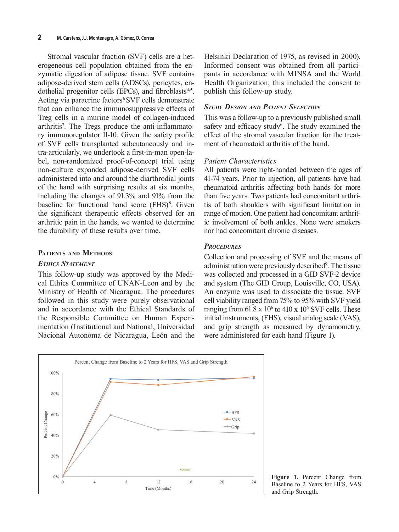Stromal vascular fraction (SVF) cells are a heterogeneous cell population obtained from the enzymatic digestion of adipose tissue. SVF contains adipose-derived stem cells (ADSCs), pericytes, endothelial progenitor cells (EPCs), and fibroblasts**4,5**. Acting via paracrine factors**<sup>6</sup>**SVF cells demonstrate that can enhance the immunosuppressive effects of Treg cells in a murine model of collagen-induced arthritis**<sup>7</sup>** . The Tregs produce the anti-inflammatory immunoregulator Il-10. Given the safety profile of SVF cells transplanted subcutaneously and intra-articularly, we undertook a first-in-man open-label, non-randomized proof-of-concept trial using non-culture expanded adipose-derived SVF cells administered into and around the diarthrodial joints of the hand with surprising results at six months, including the changes of 91.3% and 91% from the baseline for functional hand score (FHS)**<sup>8</sup>** . Given the significant therapeutic effects observed for an arthritic pain in the hands, we wanted to determine the durability of these results over time.

## **Patients and Methods**

## *Ethics Statement*

This follow-up study was approved by the Medical Ethics Committee of UNAN-Leon and by the Ministry of Health of Nicaragua. The procedures followed in this study were purely observational and in accordance with the Ethical Standards of the Responsible Committee on Human Experimentation (Institutional and National, Universidad Nacional Autonoma de Nicaragua, León and the

Helsinki Declaration of 1975, as revised in 2000). Informed consent was obtained from all participants in accordance with MINSA and the World Health Organization; this included the consent to publish this follow-up study.

## *Study Design and Patient Selection*

This was a follow-up to a previously published small safety and efficacy study<sup>6</sup>. The study examined the effect of the stromal vascular fraction for the treatment of rheumatoid arthritis of the hand.

### *Patient Characteristics*

All patients were right-handed between the ages of 41-74 years. Prior to injection, all patients have had rheumatoid arthritis affecting both hands for more than five years. Two patients had concomitant arthritis of both shoulders with significant limitation in range of motion. One patient had concomitant arthritic involvement of both ankles. None were smokers nor had concomitant chronic diseases.

#### *Procedures*

Collection and processing of SVF and the means of administration were previously described**<sup>9</sup>** . The tissue was collected and processed in a GID SVF-2 device and system (The GID Group, Louisville, CO, USA). An enzyme was used to dissociate the tissue. SVF cell viability ranged from 75% to 95% with SVF yield ranging from  $61.8 \times 10^6$  to  $410 \times 10^6$  SVF cells. These initial instruments, (FHS), visual analog scale (VAS), and grip strength as measured by dynamometry, were administered for each hand (Figure 1).



**Figure 1.** Percent Change from Baseline to 2 Years for HFS, VAS and Grip Strength.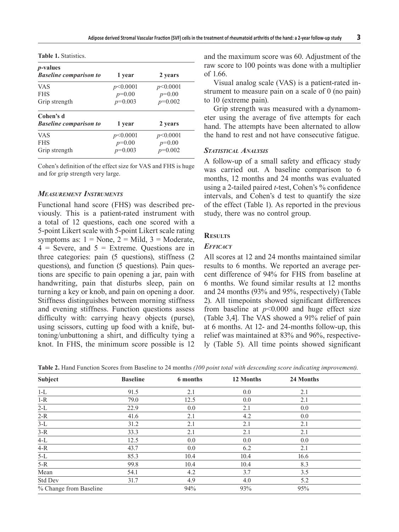| <i>p</i> -values<br><b>Baseline comparison to</b> | 1 year    | 2 years   |  |
|---------------------------------------------------|-----------|-----------|--|
| <b>VAS</b>                                        | p<0.0001  | p<0.0001  |  |
| <b>FHS</b>                                        | $p=0.00$  | $p=0.00$  |  |
| Grip strength                                     | $p=0.003$ | $p=0.002$ |  |
| Cohen's d<br><b>Baseline comparison to</b>        | 1 year    | 2 years   |  |
| <b>VAS</b>                                        | p<0.0001  | p<0.0001  |  |
| <b>FHS</b>                                        | $p=0.00$  | $p=0.00$  |  |
| Grip strength                                     | $p=0.003$ | $p=0.002$ |  |
|                                                   |           |           |  |

**Table 1.** Statistics.

Cohen's definition of the effect size for VAS and FHS is huge and for grip strength very large.

### *Measurement Instruments*

Functional hand score (FHS) was described previously. This is a patient-rated instrument with a total of 12 questions, each one scored with a 5-point Likert scale with 5-point Likert scale rating symptoms as:  $1 = \text{None}$ ,  $2 = \text{Mild}$ ,  $3 = \text{Modern}$ ,  $4 =$  Severe, and  $5 =$  Extreme. Questions are in three categories: pain (5 questions), stiffness (2 questions), and function (5 questions). Pain questions are specific to pain opening a jar, pain with handwriting, pain that disturbs sleep, pain on turning a key or knob, and pain on opening a door. Stiffness distinguishes between morning stiffness and evening stiffness. Function questions assess difficulty with: carrying heavy objects (purse), using scissors, cutting up food with a knife, buttoning/unbuttoning a shirt, and difficulty tying a knot. In FHS, the minimum score possible is 12

and the maximum score was 60. Adjustment of the raw score to 100 points was done with a multiplier of 1.66.

Visual analog scale (VAS) is a patient-rated instrument to measure pain on a scale of 0 (no pain) to 10 (extreme pain).

Grip strength was measured with a dynamometer using the average of five attempts for each hand. The attempts have been alternated to allow the hand to rest and not have consecutive fatigue.

#### *Statistical Analysis*

A follow-up of a small safety and efficacy study was carried out. A baseline comparison to 6 months, 12 months and 24 months was evaluated using a 2-tailed paired *t*-test, Cohen's % confidence intervals, and Cohen's d test to quantify the size of the effect (Table 1). As reported in the previous study, there was no control group.

## **Results**

#### *Efficacy*

All scores at 12 and 24 months maintained similar results to 6 months. We reported an average percent difference of 94% for FHS from baseline at 6 months. We found similar results at 12 months and 24 months (93% and 95%, respectively) (Table 2). All timepoints showed significant differences from baseline at  $p<0.000$  and huge effect size (Table 3,4]. The VAS showed a 91% relief of pain at 6 months. At 12- and 24-months follow-up, this relief was maintained at 83% and 96%, respectively (Table 5). All time points showed significant

**Table 2.** Hand Function Scores from Baseline to 24 months *(100 point total with descending score indicating improvement)*.

| <b>Subject</b>         | <b>Baseline</b> | 6 months | 12 Months | 24 Months |  |
|------------------------|-----------------|----------|-----------|-----------|--|
| $1-L$                  | 91.5            | 2.1      | 0.0       | 2.1       |  |
| $1-R$                  | 79.0            | 12.5     | 0.0       | 2.1       |  |
| $2-L$                  | 22.9            | 0.0      | 2.1       | 0.0       |  |
| $2-R$                  | 41.6            | 2.1      | 4.2       | 0.0       |  |
| $3-L$                  | 31.2            | 2.1      | 2.1       | 2.1       |  |
| $3-R$                  | 33.3            | 2.1      | 2.1       | 2.1       |  |
| $4-L$                  | 12.5            | 0.0      | 0.0       | 0.0       |  |
| $4-R$                  | 43.7            | 0.0      | 6.2       | 2.1       |  |
| $5-L$                  | 85.3            | 10.4     | 10.4      | 16.6      |  |
| $5-R$                  | 99.8            | 10.4     | 10.4      | 8.3       |  |
| Mean                   | 54.1            | 4.2      | 3.7       | 3.5       |  |
| Std Dev                | 31.7            | 4.9      | 4.0       | 5.2       |  |
| % Change from Baseline |                 | 94%      | 93%       | 95%       |  |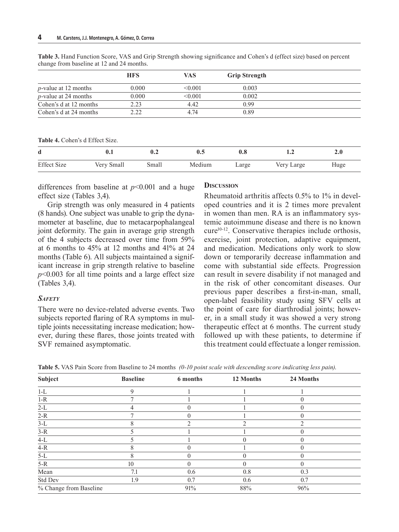|                         | <b>HFS</b> | VAS     | <b>Grip Strength</b> |  |
|-------------------------|------------|---------|----------------------|--|
| $p$ -value at 12 months | $0.000\,$  | < 0.001 | 0.003                |  |
| $p$ -value at 24 months | 0.000      | < 0.001 | 0.002                |  |
| Cohen's d at 12 months  | 2.23       | 4.42    | 0.99                 |  |
| Cohen's d at 24 months  | 2.22       | 4.74    | 0.89                 |  |

**Table 3.** Hand Function Score, VAS and Grip Strength showing significance and Cohen's d (effect size) based on percent change from baseline at 12 and 24 months.

**Table 4.** Cohen's d Effect Size.

| d                  | $0.1\,$    | 0.2   |        | 0.8   |            | $\boldsymbol{2.0}$ |
|--------------------|------------|-------|--------|-------|------------|--------------------|
| <b>Effect Size</b> | Very Small | Small | Medium | Large | Very Large | Huge               |

differences from baseline at  $p<0.001$  and a huge effect size (Tables 3,4).

Grip strength was only measured in 4 patients (8 hands). One subject was unable to grip the dynamometer at baseline, due to metacarpophalangeal joint deformity. The gain in average grip strength of the 4 subjects decreased over time from 59% at 6 months to 45% at 12 months and 41% at 24 months (Table 6). All subjects maintained a significant increase in grip strength relative to baseline *p*<0.003 for all time points and a large effect size (Tables 3,4).

# *Safety*

There were no device-related adverse events. Two subjects reported flaring of RA symptoms in multiple joints necessitating increase medication; however, during these flares, those joints treated with SVF remained asymptomatic.

## **Discussion**

Rheumatoid arthritis affects 0.5% to 1% in developed countries and it is 2 times more prevalent in women than men. RA is an inflammatory systemic autoimmune disease and there is no known  $cure<sup>10-12</sup>$ . Conservative therapies include orthosis, exercise, joint protection, adaptive equipment, and medication. Medications only work to slow down or temporarily decrease inflammation and come with substantial side effects. Progression can result in severe disability if not managed and in the risk of other concomitant diseases. Our previous paper describes a first-in-man, small, open-label feasibility study using SFV cells at the point of care for diarthrodial joints; however, in a small study it was showed a very strong therapeutic effect at 6 months. The current study followed up with these patients, to determine if this treatment could effectuate a longer remission.

| Table 5. VAS Pain Score from Baseline to 24 months (0-10 point scale with descending score indicating less pain). |  |
|-------------------------------------------------------------------------------------------------------------------|--|
|                                                                                                                   |  |

| Subject                | <b>Baseline</b> | 6 months | 12 Months | 24 Months |  |
|------------------------|-----------------|----------|-----------|-----------|--|
| $1-L$                  | 9               |          |           |           |  |
| $1-R$                  |                 |          |           |           |  |
| $2-L$                  |                 |          |           |           |  |
| $2-R$                  |                 |          |           |           |  |
| $3-L$                  | 8               |          |           |           |  |
| $3-R$                  |                 |          |           |           |  |
| $4-L$                  |                 |          | 0         |           |  |
| $4-R$                  | 8               |          |           |           |  |
| $5-L$                  | 8               |          | 0         |           |  |
| $5-R$                  | 10              |          |           |           |  |
| Mean                   | 7.1             | 0.6      | 0.8       | 0.3       |  |
| Std Dev                | 1.9             | 0.7      | 0.6       | 0.7       |  |
| % Change from Baseline |                 | 91%      | 88%       | 96%       |  |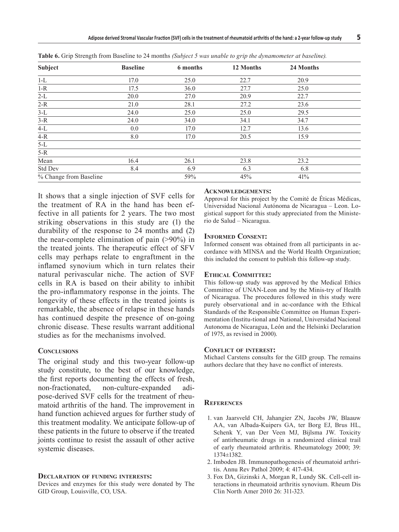| Subject                | <b>Baseline</b> | 6 months | 12 Months | 24 Months |  |
|------------------------|-----------------|----------|-----------|-----------|--|
| $1-L$                  | 17.0            | 25.0     | 22.7      | 20.9      |  |
| $1-R$                  | 17.5            | 36.0     | 27.7      | 25.0      |  |
| $2-L$                  | 20.0            | 27.0     | 20.9      | 22.7      |  |
| $2-R$                  | 21.0            | 28.1     | 27.2      | 23.6      |  |
| $3-L$                  | 24.0            | 25.0     | 25.0      | 29.5      |  |
| $3-R$                  | 24.0            | 34.0     | 34.1      | 34.7      |  |
| $4-L$                  | 0.0             | 17.0     | 12.7      | 13.6      |  |
| $4-R$                  | 8.0             | 17.0     | 20.5      | 15.9      |  |
| $5-L$                  |                 |          |           |           |  |
| $5-R$                  |                 |          |           |           |  |
| Mean                   | 16.4            | 26.1     | 23.8      | 23.2      |  |
| Std Dev                | 8.4             | 6.9      | 6.3       | 6.8       |  |
| % Change from Baseline |                 | 59%      | 45%       | 41%       |  |

**Table 6.** Grip Strength from Baseline to 24 months *(Subject 5 was unable to grip the dynamometer at baseline).*

It shows that a single injection of SVF cells for the treatment of RA in the hand has been effective in all patients for 2 years. The two most striking observations in this study are (1) the durability of the response to 24 months and (2) the near-complete elimination of pain (>90%) in the treated joints. The therapeutic effect of SFV cells may perhaps relate to engraftment in the inflamed synovium which in turn relates their natural perivascular niche. The action of SVF cells in RA is based on their ability to inhibit the pro-inflammatory response in the joints. The longevity of these effects in the treated joints is remarkable, the absence of relapse in these hands has continued despite the presence of on-going chronic disease. These results warrant additional studies as for the mechanisms involved.

## **CONCLUSIONS**

The original study and this two-year follow-up study constitute, to the best of our knowledge, the first reports documenting the effects of fresh, non-fractionated, non-culture-expanded adipose-derived SVF cells for the treatment of rheumatoid arthritis of the hand. The improvement in hand function achieved argues for further study of this treatment modality. We anticipate follow-up of these patients in the future to observe if the treated joints continue to resist the assault of other active systemic diseases.

#### **Declaration of funding interests:**

Devices and enzymes for this study were donated by The GID Group, Louisville, CO, USA.

#### **Acknowledgements:**

Approval for this project by the Comité de Éticas Médicas, Universidad Nacional Autónoma de Nicaragua – Leon. Logistical support for this study appreciated from the Ministerio de Salud – Nicaragua.

#### **Informed Consent:**

Informed consent was obtained from all participants in accordance with MINSA and the World Health Organization; this included the consent to publish this follow-up study.

#### **Ethical Committee:**

This follow-up study was approved by the Medical Ethics Committee of UNAN-Leon and by the Minis-try of Health of Nicaragua. The procedures followed in this study were purely observational and in ac-cordance with the Ethical Standards of the Responsible Committee on Human Experimentation (Institu-tional and National, Universidad Nacional Autonoma de Nicaragua, León and the Helsinki Declaration of 1975, as revised in 2000).

### **Conflict of interest:**

Michael Carstens consults for the GID group. The remains authors declare that they have no conflict of interests.

### **References**

- 1. van Jaarsveld CH, Jahangier ZN, Jacobs JW, Blaauw AA, van Albada-Kuipers GA, ter Borg EJ, Brus HL, Schenk Y, van Der Veen MJ, Bijlsma JW. Toxicity of antirheumatic drugs in a randomized clinical trail of early rheumatoid arthritis. Rheumatology 2000; 39: 1374±1382.
- 2. Imboden JB. Immunopathogenesis of rheumatoid arthritis. Annu Rev Pathol 2009; 4: 417-434.
- 3. Fox DA, Gizinski A, Morgan R, Lundy SK. Cell-cell interactions in rheumatoid arthritis synovium. Rheum Dis Clin North Amer 2010 26: 311-323.